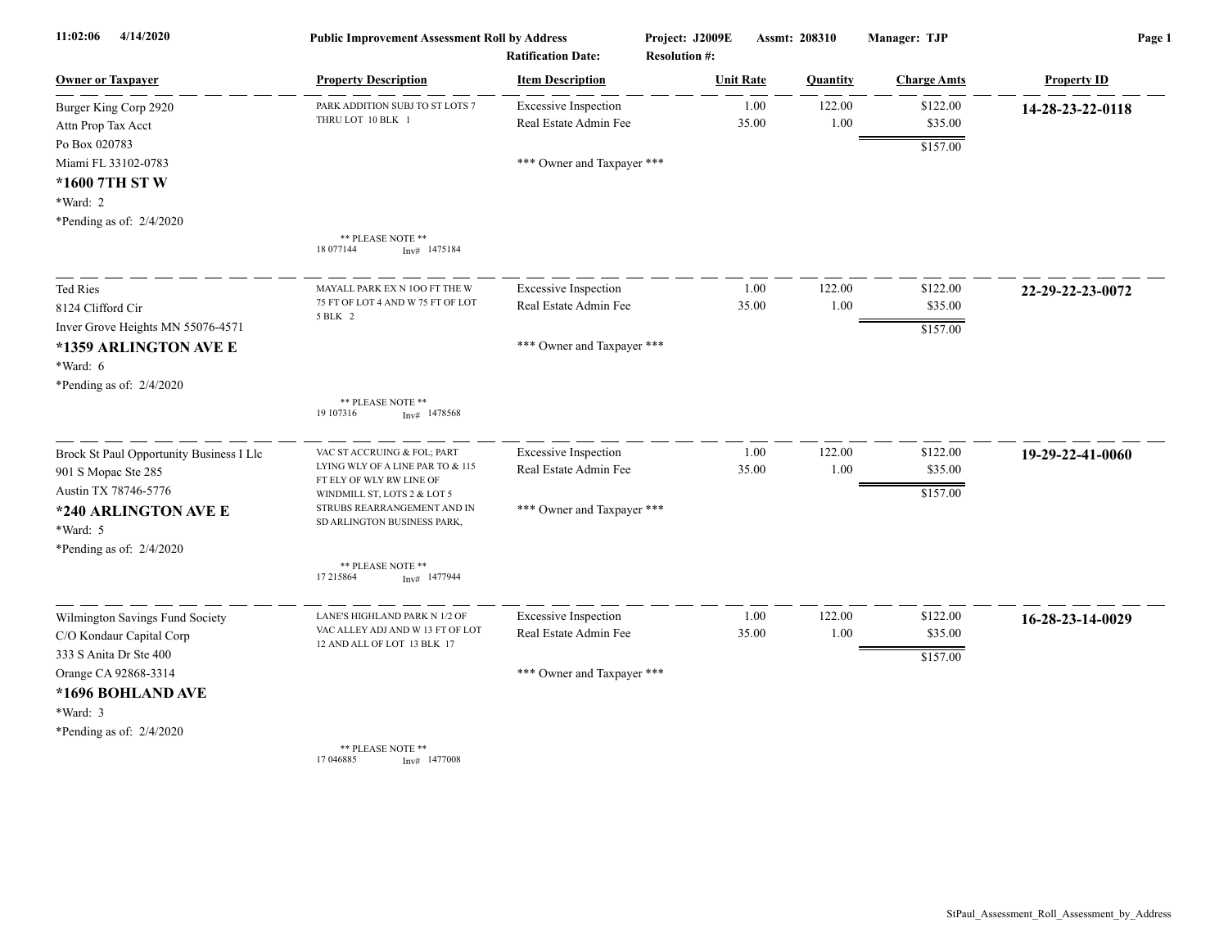| 11:02:06<br>4/14/2020                    | <b>Public Improvement Assessment Roll by Address</b><br><b>Ratification Date:</b> |                             | Project: J2009E<br><b>Resolution #:</b> |       | Assmt: 208310   | Manager: TJP       | Page 1             |  |
|------------------------------------------|-----------------------------------------------------------------------------------|-----------------------------|-----------------------------------------|-------|-----------------|--------------------|--------------------|--|
| <u>Owner or Taxpayer</u>                 | <b>Property Description</b>                                                       | <b>Item Description</b>     | <b>Unit Rate</b>                        |       | <b>Quantity</b> | <b>Charge Amts</b> | <b>Property ID</b> |  |
| Burger King Corp 2920                    | PARK ADDITION SUBJ TO ST LOTS 7                                                   | <b>Excessive Inspection</b> |                                         | 1.00  | 122.00          | \$122.00           | 14-28-23-22-0118   |  |
| Attn Prop Tax Acct                       | THRU LOT 10 BLK 1                                                                 | Real Estate Admin Fee       |                                         | 35.00 | 1.00            | \$35.00            |                    |  |
| Po Box 020783                            |                                                                                   |                             |                                         |       |                 | \$157.00           |                    |  |
| Miami FL 33102-0783                      |                                                                                   | *** Owner and Taxpayer ***  |                                         |       |                 |                    |                    |  |
| *1600 7TH ST W                           |                                                                                   |                             |                                         |       |                 |                    |                    |  |
| *Ward: 2                                 |                                                                                   |                             |                                         |       |                 |                    |                    |  |
| *Pending as of: 2/4/2020                 |                                                                                   |                             |                                         |       |                 |                    |                    |  |
|                                          | ** PLEASE NOTE **<br>18 077144<br>$Inv#$ 1475184                                  |                             |                                         |       |                 |                    |                    |  |
| <b>Ted Ries</b>                          | MAYALL PARK EX N 100 FT THE W                                                     | <b>Excessive Inspection</b> |                                         | 1.00  | 122.00          | \$122.00           | 22-29-22-23-0072   |  |
| 8124 Clifford Cir                        | 75 FT OF LOT 4 AND W 75 FT OF LOT                                                 | Real Estate Admin Fee       |                                         | 35.00 | 1.00            | \$35.00            |                    |  |
| Inver Grove Heights MN 55076-4571        | 5 BLK 2                                                                           |                             |                                         |       |                 | \$157.00           |                    |  |
| *1359 ARLINGTON AVE E                    |                                                                                   | *** Owner and Taxpayer ***  |                                         |       |                 |                    |                    |  |
| *Ward: 6                                 |                                                                                   |                             |                                         |       |                 |                    |                    |  |
| *Pending as of: 2/4/2020                 |                                                                                   |                             |                                         |       |                 |                    |                    |  |
|                                          | ** PLEASE NOTE **<br>19 107316<br>$Inv#$ 1478568                                  |                             |                                         |       |                 |                    |                    |  |
| Brock St Paul Opportunity Business I Llc | VAC ST ACCRUING & FOL; PART                                                       | <b>Excessive Inspection</b> |                                         | 1.00  | 122.00          | \$122.00           | 19-29-22-41-0060   |  |
| 901 S Mopac Ste 285                      | LYING WLY OF A LINE PAR TO & 115                                                  | Real Estate Admin Fee       |                                         | 35.00 | 1.00            | \$35.00            |                    |  |
| Austin TX 78746-5776                     | FT ELY OF WLY RW LINE OF<br>WINDMILL ST, LOTS 2 & LOT 5                           |                             |                                         |       |                 | \$157.00           |                    |  |
| *240 ARLINGTON AVE E                     | STRUBS REARRANGEMENT AND IN                                                       | *** Owner and Taxpayer ***  |                                         |       |                 |                    |                    |  |
| *Ward: 5                                 | SD ARLINGTON BUSINESS PARK,                                                       |                             |                                         |       |                 |                    |                    |  |
| *Pending as of: 2/4/2020                 |                                                                                   |                             |                                         |       |                 |                    |                    |  |
|                                          | ** PLEASE NOTE **<br>17 215864<br>$Inv#$ 1477944                                  |                             |                                         |       |                 |                    |                    |  |
| Wilmington Savings Fund Society          | LANE'S HIGHLAND PARK N 1/2 OF                                                     | <b>Excessive Inspection</b> |                                         | 1.00  | 122.00          | \$122.00           | 16-28-23-14-0029   |  |
| C/O Kondaur Capital Corp                 | VAC ALLEY ADJ AND W 13 FT OF LOT                                                  | Real Estate Admin Fee       |                                         | 35.00 | 1.00            | \$35.00            |                    |  |
| 333 S Anita Dr Ste 400                   | 12 AND ALL OF LOT 13 BLK 17                                                       |                             |                                         |       |                 | \$157.00           |                    |  |
| Orange CA 92868-3314                     |                                                                                   | *** Owner and Taxpayer ***  |                                         |       |                 |                    |                    |  |
| *1696 BOHLAND AVE                        |                                                                                   |                             |                                         |       |                 |                    |                    |  |
| *Ward: 3                                 |                                                                                   |                             |                                         |       |                 |                    |                    |  |
| *Pending as of: 2/4/2020                 |                                                                                   |                             |                                         |       |                 |                    |                    |  |
|                                          | ** PLEASE NOTE **<br>17 04 6885<br>$Inv#$ 1477008                                 |                             |                                         |       |                 |                    |                    |  |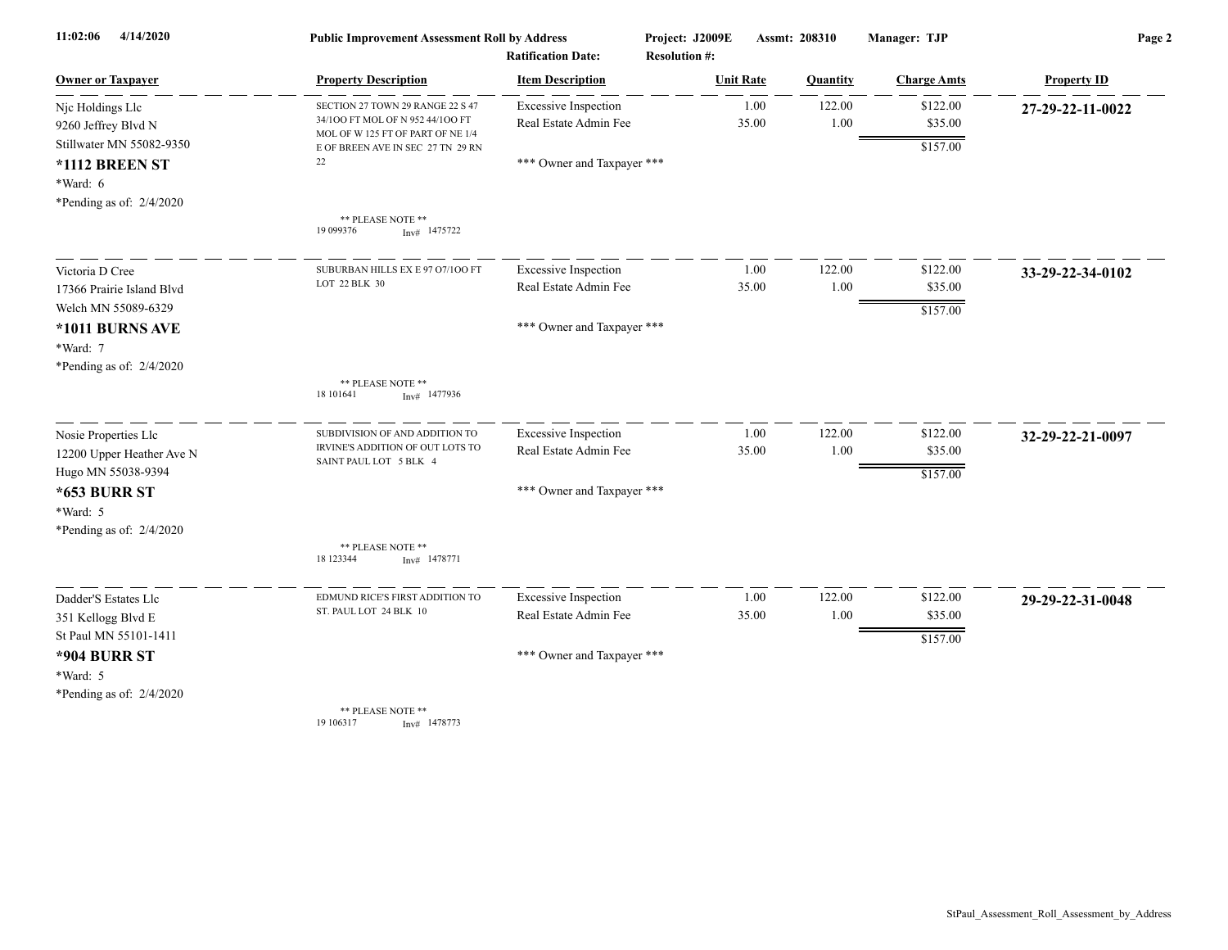| 11:02:06<br>4/14/2020                                                                |                                                                                                           | <b>Public Improvement Assessment Roll by Address</b><br><b>Ratification Date:</b> |                  | Project: J2009E<br>Assmt: 208310<br><b>Resolution #:</b> |                    | Manager: TJP        | Page 2             |  |
|--------------------------------------------------------------------------------------|-----------------------------------------------------------------------------------------------------------|-----------------------------------------------------------------------------------|------------------|----------------------------------------------------------|--------------------|---------------------|--------------------|--|
| <b>Owner or Taxpayer</b>                                                             | <b>Property Description</b>                                                                               | <b>Item Description</b>                                                           | <b>Unit Rate</b> |                                                          | Quantity           | <b>Charge Amts</b>  | <b>Property ID</b> |  |
| Njc Holdings Llc<br>9260 Jeffrey Blvd N                                              | SECTION 27 TOWN 29 RANGE 22 S 47<br>34/100 FT MOL OF N 952 44/100 FT<br>MOL OF W 125 FT OF PART OF NE 1/4 | <b>Excessive Inspection</b><br>Real Estate Admin Fee                              |                  | 1.00<br>35.00                                            | 122.00<br>$1.00\,$ | \$122.00<br>\$35.00 | 27-29-22-11-0022   |  |
| Stillwater MN 55082-9350<br>*1112 BREEN ST<br>*Ward: 6<br>*Pending as of: $2/4/2020$ | E OF BREEN AVE IN SEC 27 TN 29 RN<br>22                                                                   | *** Owner and Taxpayer ***                                                        |                  |                                                          |                    | \$157.00            |                    |  |
|                                                                                      | ** PLEASE NOTE **<br>19 099376<br>$Inv#$ 1475722                                                          |                                                                                   |                  |                                                          |                    |                     |                    |  |
| Victoria D Cree                                                                      | SUBURBAN HILLS EX E 97 07/100 FT                                                                          | <b>Excessive Inspection</b>                                                       |                  | 1.00                                                     | 122.00             | \$122.00            | 33-29-22-34-0102   |  |
| 17366 Prairie Island Blvd<br>Welch MN 55089-6329                                     | LOT 22 BLK 30                                                                                             | Real Estate Admin Fee                                                             |                  | 35.00                                                    | 1.00               | \$35.00<br>\$157.00 |                    |  |
| *1011 BURNS AVE<br>*Ward: 7<br>*Pending as of: $2/4/2020$                            |                                                                                                           | *** Owner and Taxpayer ***                                                        |                  |                                                          |                    |                     |                    |  |
|                                                                                      | ** PLEASE NOTE **<br>18 10 1641<br>$Inv#$ 1477936                                                         |                                                                                   |                  |                                                          |                    |                     |                    |  |
| Nosie Properties Llc                                                                 | SUBDIVISION OF AND ADDITION TO<br>IRVINE'S ADDITION OF OUT LOTS TO                                        | <b>Excessive Inspection</b><br>Real Estate Admin Fee                              |                  | 1.00<br>35.00                                            | 122.00<br>1.00     | \$122.00<br>\$35.00 | 32-29-22-21-0097   |  |
| 12200 Upper Heather Ave N<br>Hugo MN 55038-9394                                      | SAINT PAUL LOT 5 BLK 4                                                                                    |                                                                                   |                  |                                                          |                    | \$157.00            |                    |  |
| <b>*653 BURR ST</b><br>*Ward: 5<br>*Pending as of: $2/4/2020$                        |                                                                                                           | *** Owner and Taxpayer ***                                                        |                  |                                                          |                    |                     |                    |  |
|                                                                                      | ** PLEASE NOTE **<br>18 123344<br>$Inv#$ 1478771                                                          |                                                                                   |                  |                                                          |                    |                     |                    |  |
| Dadder'S Estates Llc                                                                 | EDMUND RICE'S FIRST ADDITION TO<br>ST. PAUL LOT 24 BLK 10                                                 | <b>Excessive Inspection</b>                                                       |                  | 1.00                                                     | 122.00             | \$122.00            | 29-29-22-31-0048   |  |
| 351 Kellogg Blvd E<br>St Paul MN 55101-1411                                          |                                                                                                           | Real Estate Admin Fee                                                             |                  | 35.00                                                    | 1.00               | \$35.00<br>\$157.00 |                    |  |
| <b>*904 BURR ST</b><br>*Ward: 5                                                      |                                                                                                           | *** Owner and Taxpayer ***                                                        |                  |                                                          |                    |                     |                    |  |
| *Pending as of: $2/4/2020$                                                           | ** PLEASE NOTE **<br>19 10 6317<br>$Inv#$ 1478773                                                         |                                                                                   |                  |                                                          |                    |                     |                    |  |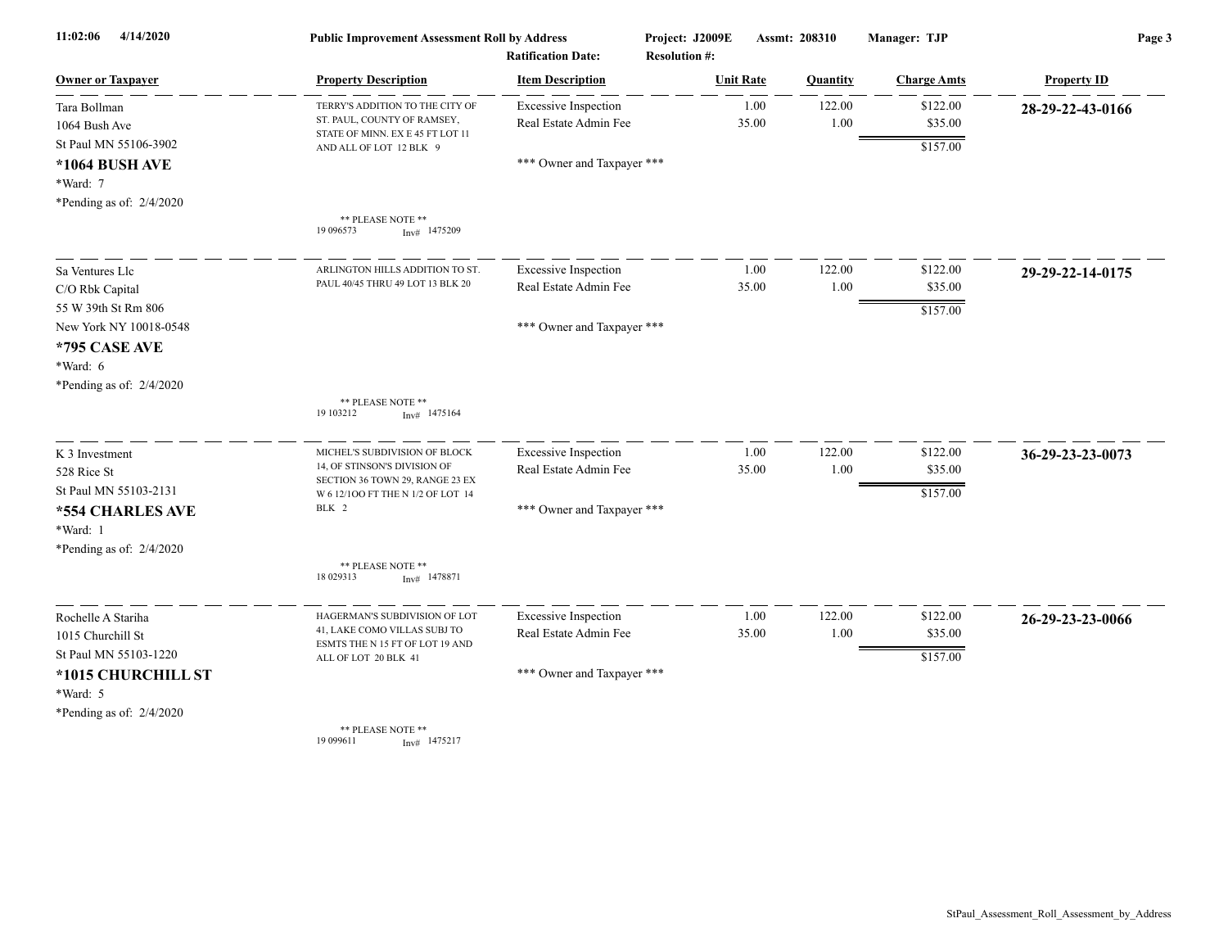| 4/14/2020<br>11:02:06      | <b>Public Improvement Assessment Roll by Address</b>                 |                                                      | Project: J2009E      | Assmt: 208310    |                | Manager: TJP        | Page 3             |  |
|----------------------------|----------------------------------------------------------------------|------------------------------------------------------|----------------------|------------------|----------------|---------------------|--------------------|--|
| <b>Owner or Taxpayer</b>   | <b>Property Description</b>                                          | <b>Ratification Date:</b><br><b>Item Description</b> | <b>Resolution #:</b> | <b>Unit Rate</b> | Quantity       | <b>Charge Amts</b>  | <b>Property ID</b> |  |
|                            |                                                                      |                                                      |                      |                  |                |                     |                    |  |
| Tara Bollman               | TERRY'S ADDITION TO THE CITY OF<br>ST. PAUL, COUNTY OF RAMSEY,       | <b>Excessive Inspection</b><br>Real Estate Admin Fee |                      | 1.00<br>35.00    | 122.00<br>1.00 | \$122.00<br>\$35.00 | 28-29-22-43-0166   |  |
| 1064 Bush Ave              | STATE OF MINN. EX E 45 FT LOT 11                                     |                                                      |                      |                  |                |                     |                    |  |
| St Paul MN 55106-3902      | AND ALL OF LOT 12 BLK 9                                              |                                                      |                      |                  |                | \$157.00            |                    |  |
| *1064 BUSH AVE             |                                                                      | *** Owner and Taxpayer ***                           |                      |                  |                |                     |                    |  |
| *Ward: 7                   |                                                                      |                                                      |                      |                  |                |                     |                    |  |
| *Pending as of: $2/4/2020$ | ** PLEASE NOTE **                                                    |                                                      |                      |                  |                |                     |                    |  |
|                            | 19 09 6573<br>$Inv#$ 1475209                                         |                                                      |                      |                  |                |                     |                    |  |
| Sa Ventures Llc            | ARLINGTON HILLS ADDITION TO ST                                       | <b>Excessive Inspection</b>                          |                      | 1.00             | 122.00         | \$122.00            | 29-29-22-14-0175   |  |
| C/O Rbk Capital            | PAUL 40/45 THRU 49 LOT 13 BLK 20                                     | Real Estate Admin Fee                                |                      | 35.00            | 1.00           | \$35.00             |                    |  |
| 55 W 39th St Rm 806        |                                                                      |                                                      |                      |                  |                | \$157.00            |                    |  |
| New York NY 10018-0548     |                                                                      | *** Owner and Taxpayer ***                           |                      |                  |                |                     |                    |  |
| *795 CASE AVE              |                                                                      |                                                      |                      |                  |                |                     |                    |  |
| *Ward: 6                   |                                                                      |                                                      |                      |                  |                |                     |                    |  |
| *Pending as of: 2/4/2020   |                                                                      |                                                      |                      |                  |                |                     |                    |  |
|                            | ** PLEASE NOTE **<br>19 10 3212<br>$Inv#$ 1475164                    |                                                      |                      |                  |                |                     |                    |  |
| K 3 Investment             | MICHEL'S SUBDIVISION OF BLOCK                                        | <b>Excessive Inspection</b>                          |                      | 1.00             | 122.00         | \$122.00            | 36-29-23-23-0073   |  |
| 528 Rice St                | 14, OF STINSON'S DIVISION OF                                         | Real Estate Admin Fee                                |                      | 35.00            | 1.00           | \$35.00             |                    |  |
| St Paul MN 55103-2131      | SECTION 36 TOWN 29, RANGE 23 EX<br>W 6 12/100 FT THE N 1/2 OF LOT 14 |                                                      |                      |                  |                | \$157.00            |                    |  |
| *554 CHARLES AVE           | BLK 2                                                                | *** Owner and Taxpayer ***                           |                      |                  |                |                     |                    |  |
| *Ward: 1                   |                                                                      |                                                      |                      |                  |                |                     |                    |  |
| *Pending as of: 2/4/2020   |                                                                      |                                                      |                      |                  |                |                     |                    |  |
|                            | ** PLEASE NOTE **<br>18 029313<br>$Inv#$ 1478871                     |                                                      |                      |                  |                |                     |                    |  |
| Rochelle A Stariha         | HAGERMAN'S SUBDIVISION OF LOT                                        | <b>Excessive Inspection</b>                          |                      | 1.00             | 122.00         | \$122.00            | 26-29-23-23-0066   |  |
| 1015 Churchill St          | 41, LAKE COMO VILLAS SUBJ TO<br>ESMTS THE N 15 FT OF LOT 19 AND      | Real Estate Admin Fee                                |                      | 35.00            | 1.00           | \$35.00             |                    |  |
| St Paul MN 55103-1220      | ALL OF LOT 20 BLK 41                                                 |                                                      |                      |                  |                | \$157.00            |                    |  |
| *1015 CHURCHILL ST         |                                                                      | *** Owner and Taxpayer ***                           |                      |                  |                |                     |                    |  |
| *Ward: 5                   |                                                                      |                                                      |                      |                  |                |                     |                    |  |
| *Pending as of: 2/4/2020   |                                                                      |                                                      |                      |                  |                |                     |                    |  |
|                            | ** PLEASE NOTE **<br>19 099611<br>$Inv#$ 1475217                     |                                                      |                      |                  |                |                     |                    |  |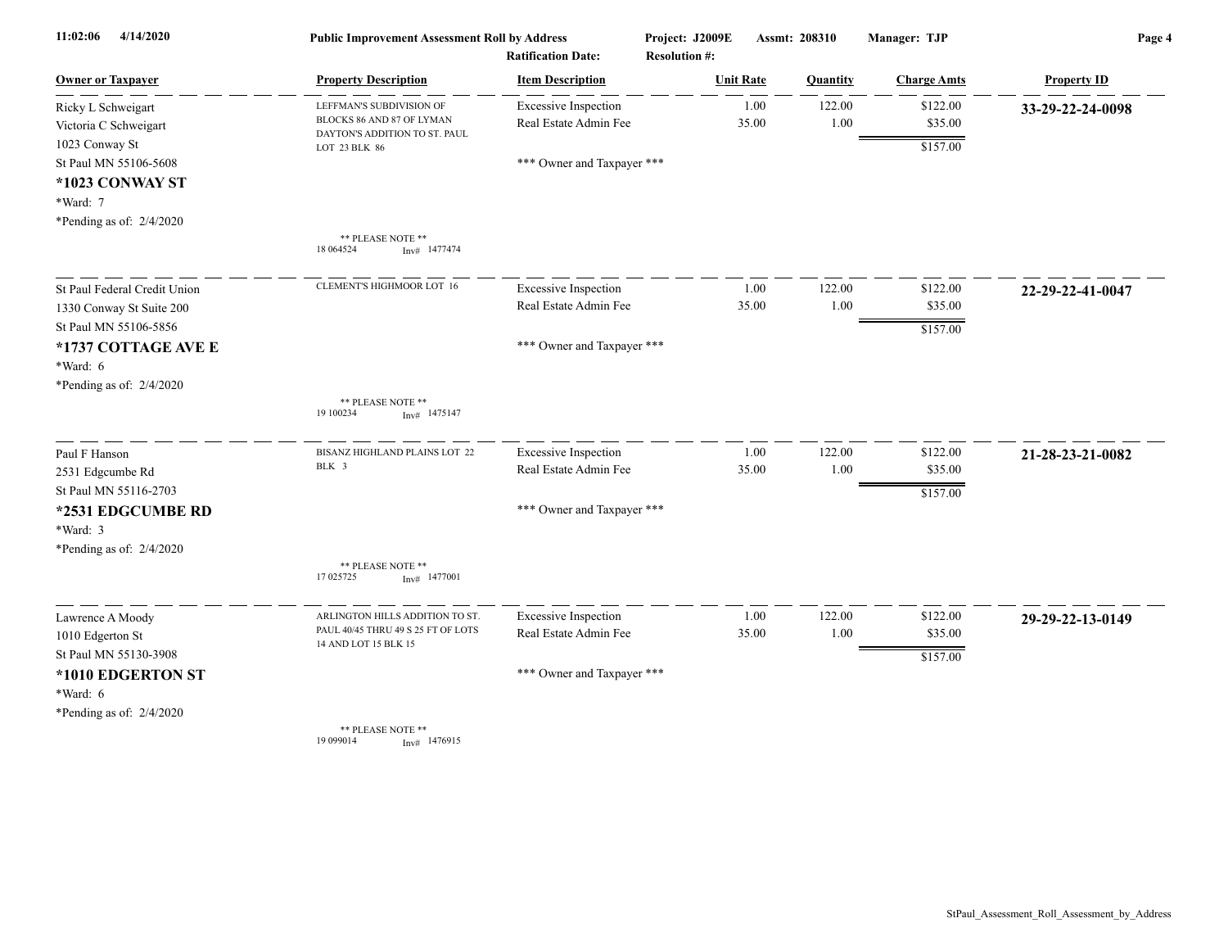| 4/14/2020<br>11:02:06                                                                                | <b>Public Improvement Assessment Roll by Address</b><br><b>Ratification Date:</b> |                                                      | Project: J2009E<br><b>Resolution #:</b> |                  | Assmt: 208310  | Manager: TJP        | Page 4             |  |
|------------------------------------------------------------------------------------------------------|-----------------------------------------------------------------------------------|------------------------------------------------------|-----------------------------------------|------------------|----------------|---------------------|--------------------|--|
| <b>Owner or Taxpayer</b>                                                                             | <b>Property Description</b>                                                       | <b>Item Description</b>                              |                                         | <b>Unit Rate</b> | Quantity       | <b>Charge Amts</b>  | <b>Property ID</b> |  |
| Ricky L Schweigart<br>Victoria C Schweigart                                                          | LEFFMAN'S SUBDIVISION OF<br>BLOCKS 86 AND 87 OF LYMAN                             | <b>Excessive Inspection</b><br>Real Estate Admin Fee |                                         | 1.00<br>35.00    | 122.00<br>1.00 | \$122.00<br>\$35.00 | 33-29-22-24-0098   |  |
| 1023 Conway St<br>St Paul MN 55106-5608<br>*1023 CONWAY ST<br>*Ward: 7<br>*Pending as of: $2/4/2020$ | DAYTON'S ADDITION TO ST. PAUL<br>LOT 23 BLK 86                                    | *** Owner and Taxpayer ***                           |                                         |                  |                | \$157.00            |                    |  |
|                                                                                                      | ** PLEASE NOTE **<br>18 064524<br>Inv# 1477474                                    |                                                      |                                         |                  |                |                     |                    |  |
| St Paul Federal Credit Union                                                                         | <b>CLEMENT'S HIGHMOOR LOT 16</b>                                                  | <b>Excessive Inspection</b>                          |                                         | 1.00             | 122.00         | \$122.00            | 22-29-22-41-0047   |  |
| 1330 Conway St Suite 200<br>St Paul MN 55106-5856                                                    |                                                                                   | Real Estate Admin Fee                                |                                         | 35.00            | 1.00           | \$35.00<br>\$157.00 |                    |  |
| *1737 COTTAGE AVE E<br>*Ward: 6<br>*Pending as of: 2/4/2020                                          |                                                                                   | *** Owner and Taxpayer ***                           |                                         |                  |                |                     |                    |  |
|                                                                                                      | ** PLEASE NOTE **<br>19 100234<br>$Inv#$ 1475147                                  |                                                      |                                         |                  |                |                     |                    |  |
| Paul F Hanson<br>2531 Edgcumbe Rd                                                                    | BISANZ HIGHLAND PLAINS LOT 22<br>BLK 3                                            | <b>Excessive Inspection</b><br>Real Estate Admin Fee |                                         | 1.00<br>35.00    | 122.00<br>1.00 | \$122.00<br>\$35.00 | 21-28-23-21-0082   |  |
| St Paul MN 55116-2703<br>*2531 EDGCUMBE RD<br>*Ward: 3<br>*Pending as of: 2/4/2020                   |                                                                                   | *** Owner and Taxpayer ***                           |                                         |                  |                | \$157.00            |                    |  |
|                                                                                                      | ** PLEASE NOTE **<br>17 025725<br>$Inv#$ 1477001                                  |                                                      |                                         |                  |                |                     |                    |  |
| Lawrence A Moody<br>1010 Edgerton St                                                                 | ARLINGTON HILLS ADDITION TO ST<br>PAUL 40/45 THRU 49 S 25 FT OF LOTS              | <b>Excessive Inspection</b><br>Real Estate Admin Fee |                                         | 1.00<br>35.00    | 122.00<br>1.00 | \$122.00<br>\$35.00 | 29-29-22-13-0149   |  |
| St Paul MN 55130-3908                                                                                | 14 AND LOT 15 BLK 15                                                              |                                                      |                                         |                  |                | \$157.00            |                    |  |
| *1010 EDGERTON ST<br>*Ward: 6                                                                        |                                                                                   | *** Owner and Taxpayer ***                           |                                         |                  |                |                     |                    |  |
| *Pending as of: 2/4/2020                                                                             | ** PLEASE NOTE **<br>19 09 9014<br>Inv# 1476915                                   |                                                      |                                         |                  |                |                     |                    |  |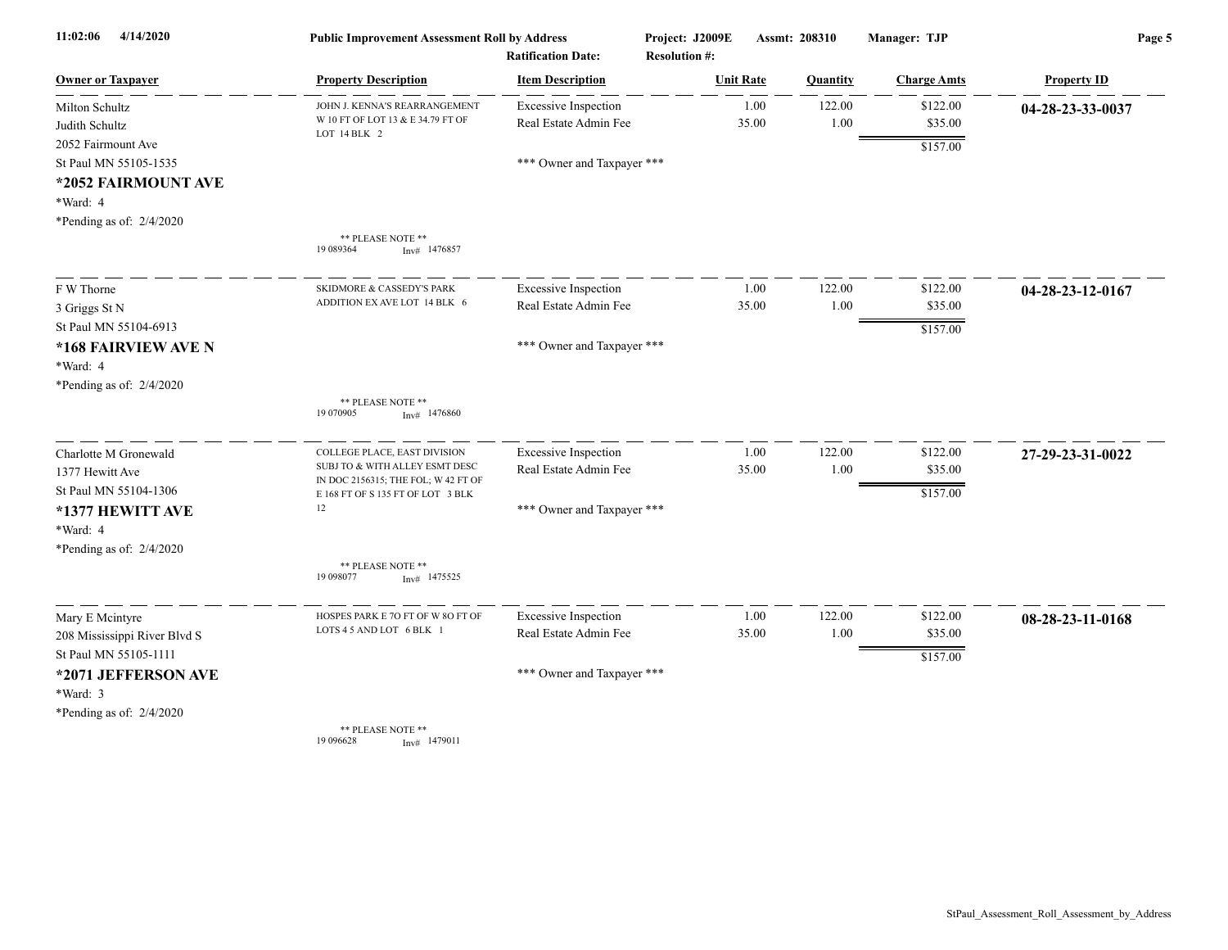| 4/14/2020<br>11:02:06            | <b>Public Improvement Assessment Roll by Address</b>                     |                                                      | Project: J2009E                          |               | Assmt: 208310  | Manager: TJP        | Page 5             |  |
|----------------------------------|--------------------------------------------------------------------------|------------------------------------------------------|------------------------------------------|---------------|----------------|---------------------|--------------------|--|
| <b>Owner or Taxpayer</b>         | <b>Property Description</b>                                              | <b>Ratification Date:</b><br><b>Item Description</b> | <b>Resolution #:</b><br><b>Unit Rate</b> |               | Quantity       | <b>Charge Amts</b>  | <b>Property ID</b> |  |
| Milton Schultz<br>Judith Schultz | JOHN J. KENNA'S REARRANGEMENT<br>W 10 FT OF LOT 13 & E 34.79 FT OF       | <b>Excessive Inspection</b><br>Real Estate Admin Fee |                                          | 1.00<br>35.00 | 122.00<br>1.00 | \$122.00<br>\$35.00 | 04-28-23-33-0037   |  |
| 2052 Fairmount Ave               | LOT 14 BLK 2                                                             |                                                      |                                          |               |                | \$157.00            |                    |  |
| St Paul MN 55105-1535            |                                                                          | *** Owner and Taxpayer ***                           |                                          |               |                |                     |                    |  |
| *2052 FAIRMOUNT AVE              |                                                                          |                                                      |                                          |               |                |                     |                    |  |
| *Ward: 4                         |                                                                          |                                                      |                                          |               |                |                     |                    |  |
| *Pending as of: $2/4/2020$       |                                                                          |                                                      |                                          |               |                |                     |                    |  |
|                                  | ** PLEASE NOTE **<br>19 089364<br>$Inv#$ 1476857                         |                                                      |                                          |               |                |                     |                    |  |
| F W Thorne                       | <b>SKIDMORE &amp; CASSEDY'S PARK</b>                                     | <b>Excessive Inspection</b>                          |                                          | 1.00          | 122.00         | \$122.00            | 04-28-23-12-0167   |  |
| 3 Griggs St N                    | ADDITION EX AVE LOT 14 BLK 6                                             | Real Estate Admin Fee                                |                                          | 35.00         | 1.00           | \$35.00             |                    |  |
| St Paul MN 55104-6913            |                                                                          |                                                      |                                          |               |                | \$157.00            |                    |  |
| *168 FAIRVIEW AVE N              |                                                                          | *** Owner and Taxpayer ***                           |                                          |               |                |                     |                    |  |
| *Ward: 4                         |                                                                          |                                                      |                                          |               |                |                     |                    |  |
| *Pending as of: 2/4/2020         |                                                                          |                                                      |                                          |               |                |                     |                    |  |
|                                  | ** PLEASE NOTE **<br>19 070905<br>$Inv#$ 1476860                         |                                                      |                                          |               |                |                     |                    |  |
| Charlotte M Gronewald            | COLLEGE PLACE, EAST DIVISION                                             | <b>Excessive Inspection</b>                          |                                          | 1.00          | 122.00         | \$122.00            | 27-29-23-31-0022   |  |
| 1377 Hewitt Ave                  | SUBJ TO & WITH ALLEY ESMT DESC                                           | Real Estate Admin Fee                                |                                          | 35.00         | 1.00           | \$35.00             |                    |  |
| St Paul MN 55104-1306            | IN DOC 2156315; THE FOL; W 42 FT OF<br>E 168 FT OF S 135 FT OF LOT 3 BLK |                                                      |                                          |               |                | \$157.00            |                    |  |
| *1377 HEWITT AVE                 | 12                                                                       | *** Owner and Taxpayer ***                           |                                          |               |                |                     |                    |  |
| *Ward: 4                         |                                                                          |                                                      |                                          |               |                |                     |                    |  |
| *Pending as of: $2/4/2020$       |                                                                          |                                                      |                                          |               |                |                     |                    |  |
|                                  | ** PLEASE NOTE **<br>19 09 8077<br>$Inv#$ 1475525                        |                                                      |                                          |               |                |                     |                    |  |
| Mary E Mcintyre                  | HOSPES PARK E 7O FT OF W 8O FT OF                                        | <b>Excessive Inspection</b>                          |                                          | 1.00          | 122.00         | \$122.00            | 08-28-23-11-0168   |  |
| 208 Mississippi River Blvd S     | LOTS 4 5 AND LOT 6 BLK 1                                                 | Real Estate Admin Fee                                |                                          | 35.00         | 1.00           | \$35.00             |                    |  |
| St Paul MN 55105-1111            |                                                                          |                                                      |                                          |               |                | \$157.00            |                    |  |
| *2071 JEFFERSON AVE              |                                                                          | *** Owner and Taxpayer ***                           |                                          |               |                |                     |                    |  |
| *Ward: 3                         |                                                                          |                                                      |                                          |               |                |                     |                    |  |
| *Pending as of: 2/4/2020         |                                                                          |                                                      |                                          |               |                |                     |                    |  |
|                                  | ** PLEASE NOTE **<br>19 09 6628<br>Inv# 1479011                          |                                                      |                                          |               |                |                     |                    |  |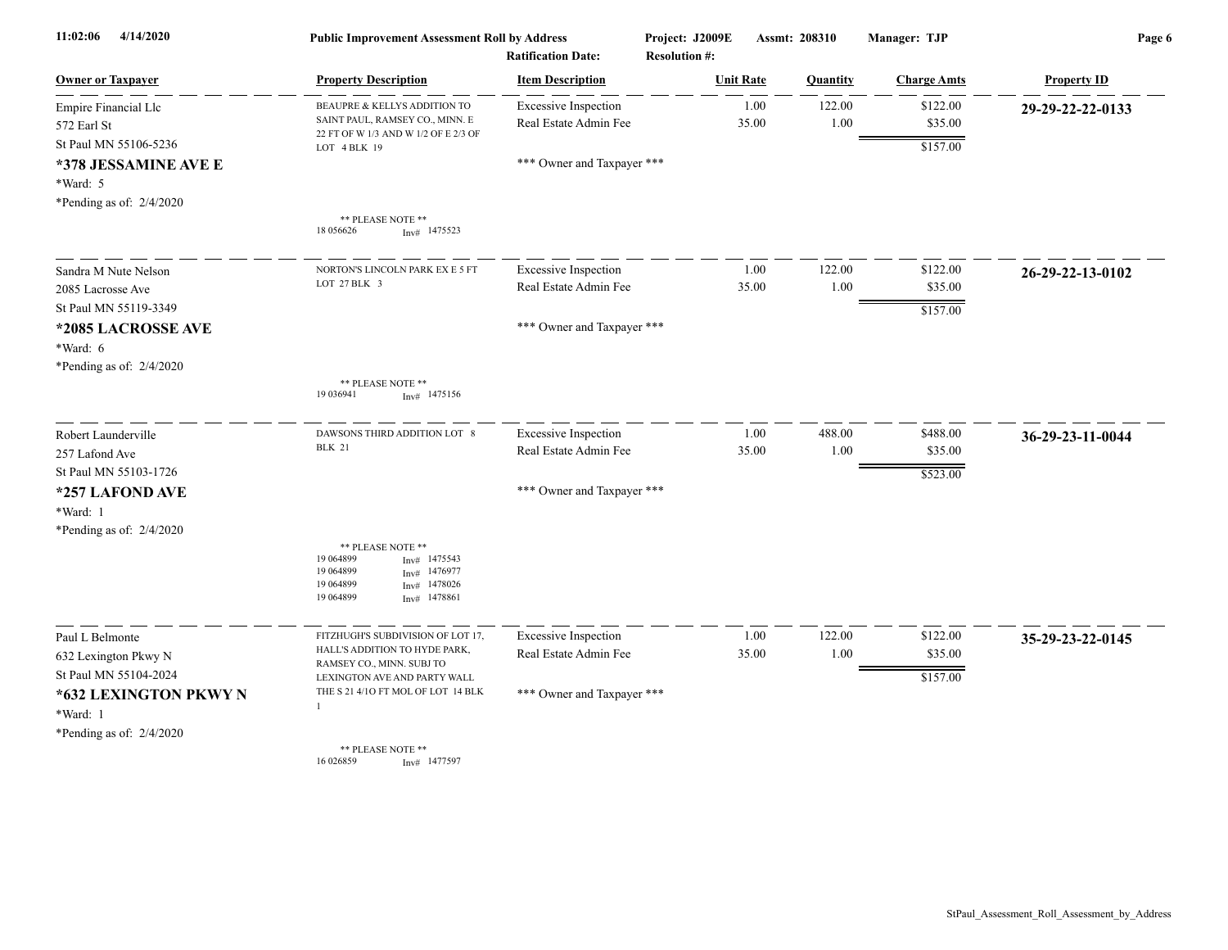| 11:02:06<br>4/14/2020      | <b>Public Improvement Assessment Roll by Address</b><br><b>Ratification Date:</b>                         |                             | Project: J2009E<br><b>Resolution #:</b> | Assmt: 208310 |                 | Manager: TJP       | Page 6             |  |
|----------------------------|-----------------------------------------------------------------------------------------------------------|-----------------------------|-----------------------------------------|---------------|-----------------|--------------------|--------------------|--|
| <b>Owner or Taxpayer</b>   | <b>Property Description</b>                                                                               | <b>Item Description</b>     | <b>Unit Rate</b>                        |               | <b>Quantity</b> | <b>Charge Amts</b> | <b>Property ID</b> |  |
| Empire Financial Llc       | BEAUPRE & KELLYS ADDITION TO                                                                              | <b>Excessive Inspection</b> |                                         | 1.00          | 122.00          | \$122.00           | 29-29-22-22-0133   |  |
| 572 Earl St                | SAINT PAUL, RAMSEY CO., MINN. E<br>22 FT OF W 1/3 AND W 1/2 OF E 2/3 OF                                   | Real Estate Admin Fee       |                                         | 35.00         | 1.00            | \$35.00            |                    |  |
| St Paul MN 55106-5236      | LOT 4 BLK 19                                                                                              |                             |                                         |               |                 | \$157.00           |                    |  |
| *378 JESSAMINE AVE E       |                                                                                                           | *** Owner and Taxpayer ***  |                                         |               |                 |                    |                    |  |
| *Ward: 5                   |                                                                                                           |                             |                                         |               |                 |                    |                    |  |
| *Pending as of: $2/4/2020$ |                                                                                                           |                             |                                         |               |                 |                    |                    |  |
|                            | ** PLEASE NOTE **<br>18 05 6626<br>$Inv#$ 1475523                                                         |                             |                                         |               |                 |                    |                    |  |
|                            |                                                                                                           |                             |                                         |               |                 |                    |                    |  |
| Sandra M Nute Nelson       | NORTON'S LINCOLN PARK EX E 5 FT<br>LOT 27 BLK 3                                                           | <b>Excessive Inspection</b> |                                         | 1.00          | 122.00          | \$122.00           | 26-29-22-13-0102   |  |
| 2085 Lacrosse Ave          |                                                                                                           | Real Estate Admin Fee       |                                         | 35.00         | 1.00            | \$35.00            |                    |  |
| St Paul MN 55119-3349      |                                                                                                           |                             |                                         |               |                 | \$157.00           |                    |  |
| *2085 LACROSSE AVE         |                                                                                                           | *** Owner and Taxpayer ***  |                                         |               |                 |                    |                    |  |
| *Ward: 6                   |                                                                                                           |                             |                                         |               |                 |                    |                    |  |
| *Pending as of: $2/4/2020$ |                                                                                                           |                             |                                         |               |                 |                    |                    |  |
|                            | ** PLEASE NOTE **<br>19 03 6941<br>$Inv#$ 1475156                                                         |                             |                                         |               |                 |                    |                    |  |
| Robert Launderville        | DAWSONS THIRD ADDITION LOT 8                                                                              | <b>Excessive Inspection</b> |                                         | 1.00          | 488.00          | \$488.00           | 36-29-23-11-0044   |  |
| 257 Lafond Ave             | <b>BLK 21</b>                                                                                             | Real Estate Admin Fee       |                                         | 35.00         | $1.00\,$        | \$35.00            |                    |  |
| St Paul MN 55103-1726      |                                                                                                           |                             |                                         |               |                 | \$523.00           |                    |  |
| *257 LAFOND AVE            |                                                                                                           | *** Owner and Taxpayer ***  |                                         |               |                 |                    |                    |  |
| *Ward: 1                   |                                                                                                           |                             |                                         |               |                 |                    |                    |  |
| *Pending as of: $2/4/2020$ |                                                                                                           |                             |                                         |               |                 |                    |                    |  |
|                            | ** PLEASE NOTE **<br>19 064899<br>1475543<br>Inv#<br>19 064899<br>1476977<br>Inv#<br>19 064899<br>1478026 |                             |                                         |               |                 |                    |                    |  |
|                            | Inv#<br>19 064899<br>1478861<br>Inv#                                                                      |                             |                                         |               |                 |                    |                    |  |
| Paul L Belmonte            | FITZHUGH'S SUBDIVISION OF LOT 17,                                                                         | <b>Excessive Inspection</b> |                                         | 1.00          | 122.00          | \$122.00           | 35-29-23-22-0145   |  |
| 632 Lexington Pkwy N       | HALL'S ADDITION TO HYDE PARK,                                                                             | Real Estate Admin Fee       |                                         | 35.00         | 1.00            | \$35.00            |                    |  |
| St Paul MN 55104-2024      | RAMSEY CO., MINN. SUBJ TO<br>LEXINGTON AVE AND PARTY WALL                                                 |                             |                                         |               |                 | \$157.00           |                    |  |
| *632 LEXINGTON PKWY N      | THE S 21 4/10 FT MOL OF LOT 14 BLK                                                                        | *** Owner and Taxpayer ***  |                                         |               |                 |                    |                    |  |
| *Ward: 1                   |                                                                                                           |                             |                                         |               |                 |                    |                    |  |
| *Pending as of: 2/4/2020   |                                                                                                           |                             |                                         |               |                 |                    |                    |  |
|                            | ** PLEASE NOTE **<br>16 026859<br>$Inv#$ 1477597                                                          |                             |                                         |               |                 |                    |                    |  |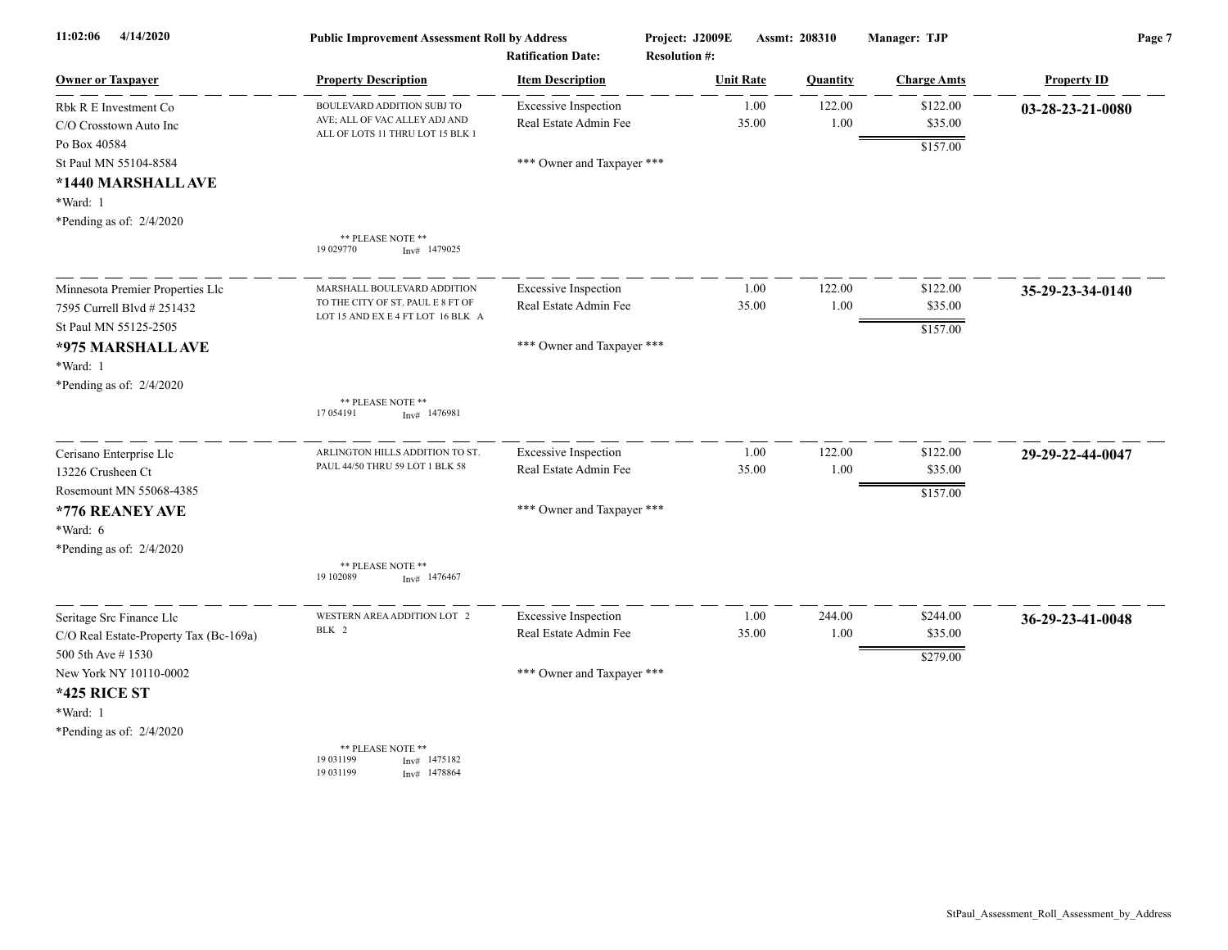| 4/14/2020<br>11:02:06                                                                               | <b>Public Improvement Assessment Roll by Address</b><br><b>Ratification Date:</b>                     |                                                      | Project: J2009E<br><b>Resolution #:</b> | Assmt: 208310 |                | Manager: TJP                    | Page 7                     |  |
|-----------------------------------------------------------------------------------------------------|-------------------------------------------------------------------------------------------------------|------------------------------------------------------|-----------------------------------------|---------------|----------------|---------------------------------|----------------------------|--|
| <b>Owner or Taxpayer</b>                                                                            | <b>Property Description</b>                                                                           | <b>Item Description</b>                              | <b>Unit Rate</b>                        |               | Quantity       | <b>Charge Amts</b>              | <b>Property ID</b>         |  |
| Rbk R E Investment Co<br>C/O Crosstown Auto Inc                                                     | BOULEVARD ADDITION SUBJ TO<br>AVE; ALL OF VAC ALLEY ADJ AND<br>ALL OF LOTS 11 THRU LOT 15 BLK 1       | <b>Excessive Inspection</b><br>Real Estate Admin Fee |                                         | 1.00<br>35.00 | 122.00<br>1.00 | \$122.00<br>\$35.00             | $03 - 28 - 23 - 21 - 0080$ |  |
| Po Box 40584<br>St Paul MN 55104-8584<br>*1440 MARSHALL AVE<br>*Ward: 1<br>*Pending as of: 2/4/2020 |                                                                                                       | *** Owner and Taxpayer ***                           |                                         |               |                | \$157.00                        |                            |  |
|                                                                                                     | ** PLEASE NOTE **<br>19 029770<br>$Inv#$ 1479025                                                      |                                                      |                                         |               |                |                                 |                            |  |
| Minnesota Premier Properties Llc<br>7595 Currell Blvd # 251432<br>St Paul MN 55125-2505             | MARSHALL BOULEVARD ADDITION<br>TO THE CITY OF ST. PAUL E 8 FT OF<br>LOT 15 AND EX E 4 FT LOT 16 BLK A | <b>Excessive Inspection</b><br>Real Estate Admin Fee |                                         | 1.00<br>35.00 | 122.00<br>1.00 | \$122.00<br>\$35.00<br>\$157.00 | 35-29-23-34-0140           |  |
| *975 MARSHALL AVE<br>*Ward: 1<br>*Pending as of: 2/4/2020                                           |                                                                                                       | *** Owner and Taxpayer ***                           |                                         |               |                |                                 |                            |  |
|                                                                                                     | ** PLEASE NOTE **<br>17 054191<br>$Inv#$ 1476981                                                      |                                                      |                                         |               |                |                                 |                            |  |
| Cerisano Enterprise Llc<br>13226 Crusheen Ct<br>Rosemount MN 55068-4385                             | ARLINGTON HILLS ADDITION TO ST.<br>PAUL 44/50 THRU 59 LOT 1 BLK 58                                    | <b>Excessive Inspection</b><br>Real Estate Admin Fee |                                         | 1.00<br>35.00 | 122.00<br>1.00 | \$122.00<br>\$35.00             | 29-29-22-44-0047           |  |
| *776 REANEY AVE<br>*Ward: 6<br>*Pending as of: $2/4/2020$                                           |                                                                                                       | *** Owner and Taxpayer ***                           |                                         |               |                | \$157.00                        |                            |  |
|                                                                                                     | ** PLEASE NOTE **<br>19 10 2089<br>1476467<br>Inv#                                                    |                                                      |                                         |               |                |                                 |                            |  |
| Seritage Src Finance Llc<br>C/O Real Estate-Property Tax (Bc-169a)                                  | WESTERN AREA ADDITION LOT 2<br>BLK 2                                                                  | <b>Excessive Inspection</b><br>Real Estate Admin Fee |                                         | 1.00<br>35.00 | 244.00<br>1.00 | \$244.00<br>\$35.00             | 36-29-23-41-0048           |  |
| 500 5th Ave #1530<br>New York NY 10110-0002<br><b>*425 RICE ST</b><br>*Ward: 1                      |                                                                                                       | *** Owner and Taxpayer ***                           |                                         |               |                | \$279.00                        |                            |  |
| *Pending as of: $2/4/2020$                                                                          | ** PLEASE NOTE **<br>19 03 11 99<br>$Inv#$ 1475182<br>19 03 11 99<br>Inv# 1478864                     |                                                      |                                         |               |                |                                 |                            |  |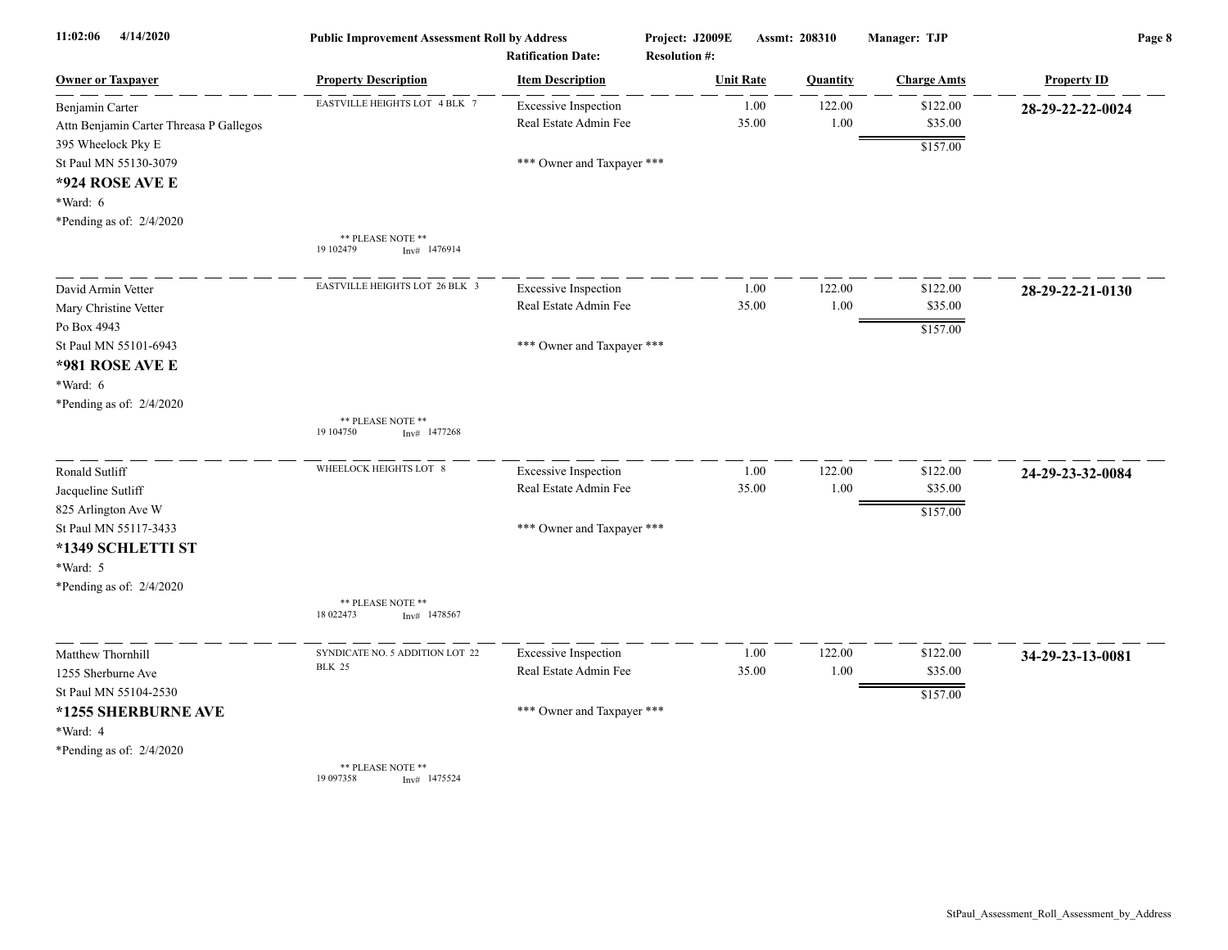| 4/14/2020<br>11:02:06                   | <b>Public Improvement Assessment Roll by Address</b> | <b>Ratification Date:</b>   | Project: J2009E<br><b>Resolution #:</b> | Assmt: 208310 |          | Manager: TJP       | Page 8             |
|-----------------------------------------|------------------------------------------------------|-----------------------------|-----------------------------------------|---------------|----------|--------------------|--------------------|
| <b>Owner or Taxpayer</b>                | <b>Property Description</b>                          | <b>Item Description</b>     | <b>Unit Rate</b>                        |               | Quantity | <b>Charge Amts</b> | <b>Property ID</b> |
| Benjamin Carter                         | EASTVILLE HEIGHTS LOT 4 BLK 7                        | <b>Excessive Inspection</b> |                                         | 1.00          | 122.00   | \$122.00           | 28-29-22-22-0024   |
| Attn Benjamin Carter Threasa P Gallegos |                                                      | Real Estate Admin Fee       | 35.00                                   |               | 1.00     | \$35.00            |                    |
| 395 Wheelock Pky E                      |                                                      |                             |                                         |               |          | \$157.00           |                    |
| St Paul MN 55130-3079                   |                                                      | *** Owner and Taxpayer ***  |                                         |               |          |                    |                    |
| *924 ROSE AVE E                         |                                                      |                             |                                         |               |          |                    |                    |
| *Ward: 6                                |                                                      |                             |                                         |               |          |                    |                    |
| *Pending as of: 2/4/2020                |                                                      |                             |                                         |               |          |                    |                    |
|                                         | ** PLEASE NOTE **<br>19 102479<br>Inv# 1476914       |                             |                                         |               |          |                    |                    |
| David Armin Vetter                      | EASTVILLE HEIGHTS LOT 26 BLK 3                       | <b>Excessive Inspection</b> |                                         | 1.00          | 122.00   | \$122.00           | 28-29-22-21-0130   |
| Mary Christine Vetter                   |                                                      | Real Estate Admin Fee       | 35.00                                   |               | 1.00     | \$35.00            |                    |
| Po Box 4943                             |                                                      |                             |                                         |               |          | \$157.00           |                    |
| St Paul MN 55101-6943                   |                                                      | *** Owner and Taxpayer ***  |                                         |               |          |                    |                    |
| *981 ROSE AVE E                         |                                                      |                             |                                         |               |          |                    |                    |
| *Ward: 6                                |                                                      |                             |                                         |               |          |                    |                    |
| *Pending as of: 2/4/2020                |                                                      |                             |                                         |               |          |                    |                    |
|                                         | ** PLEASE NOTE **<br>19 10 4750<br>$Inv#$ 1477268    |                             |                                         |               |          |                    |                    |
| Ronald Sutliff                          | WHEELOCK HEIGHTS LOT 8                               | <b>Excessive Inspection</b> |                                         | 1.00          | 122.00   | \$122.00           | 24-29-23-32-0084   |
| Jacqueline Sutliff                      |                                                      | Real Estate Admin Fee       | 35.00                                   |               | 1.00     | \$35.00            |                    |
| 825 Arlington Ave W                     |                                                      |                             |                                         |               |          | \$157.00           |                    |
| St Paul MN 55117-3433                   |                                                      | *** Owner and Taxpayer ***  |                                         |               |          |                    |                    |
| *1349 SCHLETTI ST                       |                                                      |                             |                                         |               |          |                    |                    |
| *Ward: 5                                |                                                      |                             |                                         |               |          |                    |                    |
| *Pending as of: 2/4/2020                |                                                      |                             |                                         |               |          |                    |                    |
|                                         | ** PLEASE NOTE **<br>18 022473<br>$Inv#$ 1478567     |                             |                                         |               |          |                    |                    |
| Matthew Thornhill                       | SYNDICATE NO. 5 ADDITION LOT 22                      | <b>Excessive Inspection</b> |                                         | 1.00          | 122.00   | \$122.00           | 34-29-23-13-0081   |
| 1255 Sherburne Ave                      | <b>BLK 25</b>                                        | Real Estate Admin Fee       | 35.00                                   |               | 1.00     | \$35.00            |                    |
| St Paul MN 55104-2530                   |                                                      |                             |                                         |               |          | \$157.00           |                    |
| *1255 SHERBURNE AVE                     |                                                      | *** Owner and Taxpayer ***  |                                         |               |          |                    |                    |
| *Ward: 4                                |                                                      |                             |                                         |               |          |                    |                    |
| *Pending as of: 2/4/2020                |                                                      |                             |                                         |               |          |                    |                    |
|                                         | ** PLEASE NOTE **<br>19 097358<br>$Inv#$ 1475524     |                             |                                         |               |          |                    |                    |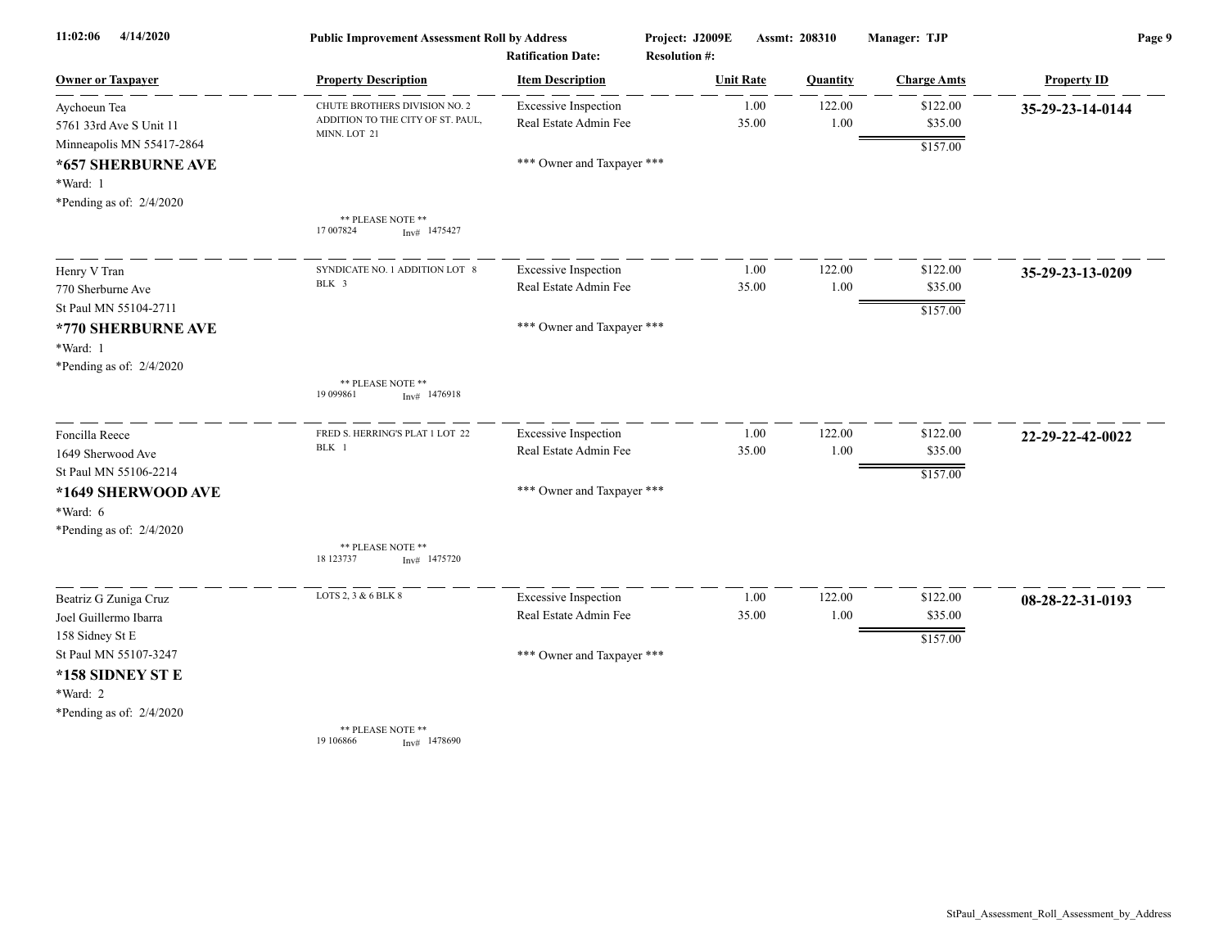| 4/14/2020<br>11:02:06      | <b>Public Improvement Assessment Roll by Address</b><br><b>Ratification Date:</b> |                             | Project: J2009E  | Assmt: 208310<br><b>Resolution #:</b> |          | Manager: TJP       | Page 9             |  |
|----------------------------|-----------------------------------------------------------------------------------|-----------------------------|------------------|---------------------------------------|----------|--------------------|--------------------|--|
| <b>Owner or Taxpayer</b>   | <b>Property Description</b>                                                       | <b>Item Description</b>     | <b>Unit Rate</b> |                                       | Quantity | <b>Charge Amts</b> | <b>Property ID</b> |  |
| Aychoeun Tea               | CHUTE BROTHERS DIVISION NO. 2                                                     | <b>Excessive Inspection</b> |                  | 1.00                                  | 122.00   | \$122.00           | 35-29-23-14-0144   |  |
| 5761 33rd Ave S Unit 11    | ADDITION TO THE CITY OF ST. PAUL,<br>MINN. LOT 21                                 | Real Estate Admin Fee       |                  | 35.00                                 | $1.00\,$ | \$35.00            |                    |  |
| Minneapolis MN 55417-2864  |                                                                                   |                             |                  |                                       |          | \$157.00           |                    |  |
| *657 SHERBURNE AVE         |                                                                                   | *** Owner and Taxpayer ***  |                  |                                       |          |                    |                    |  |
| *Ward: 1                   |                                                                                   |                             |                  |                                       |          |                    |                    |  |
| *Pending as of: $2/4/2020$ |                                                                                   |                             |                  |                                       |          |                    |                    |  |
|                            | ** PLEASE NOTE **<br>17 007824<br>$Inv#$ 1475427                                  |                             |                  |                                       |          |                    |                    |  |
| Henry V Tran               | SYNDICATE NO. 1 ADDITION LOT 8                                                    | <b>Excessive Inspection</b> |                  | 1.00                                  | 122.00   | \$122.00           | 35-29-23-13-0209   |  |
| 770 Sherburne Ave          | BLK 3                                                                             | Real Estate Admin Fee       |                  | 35.00                                 | 1.00     | \$35.00            |                    |  |
| St Paul MN 55104-2711      |                                                                                   |                             |                  |                                       |          | \$157.00           |                    |  |
| *770 SHERBURNE AVE         |                                                                                   | *** Owner and Taxpayer ***  |                  |                                       |          |                    |                    |  |
| *Ward: 1                   |                                                                                   |                             |                  |                                       |          |                    |                    |  |
| *Pending as of: $2/4/2020$ |                                                                                   |                             |                  |                                       |          |                    |                    |  |
|                            | ** PLEASE NOTE **<br>19 099861<br>$Inv#$ 1476918                                  |                             |                  |                                       |          |                    |                    |  |
| Foncilla Reece             | FRED S. HERRING'S PLAT 1 LOT 22                                                   | <b>Excessive Inspection</b> |                  | 1.00                                  | 122.00   | \$122.00           | 22-29-22-42-0022   |  |
| 1649 Sherwood Ave          | BLK 1                                                                             | Real Estate Admin Fee       |                  | 35.00                                 | 1.00     | \$35.00            |                    |  |
| St Paul MN 55106-2214      |                                                                                   |                             |                  |                                       |          | \$157.00           |                    |  |
| *1649 SHERWOOD AVE         |                                                                                   | *** Owner and Taxpayer ***  |                  |                                       |          |                    |                    |  |
| *Ward: 6                   |                                                                                   |                             |                  |                                       |          |                    |                    |  |
| *Pending as of: 2/4/2020   |                                                                                   |                             |                  |                                       |          |                    |                    |  |
|                            | ** PLEASE NOTE **<br>18 123737<br>1475720<br>Inv#                                 |                             |                  |                                       |          |                    |                    |  |
| Beatriz G Zuniga Cruz      | LOTS 2, 3 & 6 BLK 8                                                               | <b>Excessive Inspection</b> |                  | 1.00                                  | 122.00   | \$122.00           | 08-28-22-31-0193   |  |
| Joel Guillermo Ibarra      |                                                                                   | Real Estate Admin Fee       |                  | 35.00                                 | 1.00     | \$35.00            |                    |  |
| 158 Sidney St E            |                                                                                   |                             |                  |                                       |          | \$157.00           |                    |  |
| St Paul MN 55107-3247      |                                                                                   | *** Owner and Taxpayer ***  |                  |                                       |          |                    |                    |  |
| *158 SIDNEY ST E           |                                                                                   |                             |                  |                                       |          |                    |                    |  |
| *Ward: 2                   |                                                                                   |                             |                  |                                       |          |                    |                    |  |
| *Pending as of: 2/4/2020   |                                                                                   |                             |                  |                                       |          |                    |                    |  |
|                            | ** PLEASE NOTE **<br>19 10 6866<br>$Inv#$ 1478690                                 |                             |                  |                                       |          |                    |                    |  |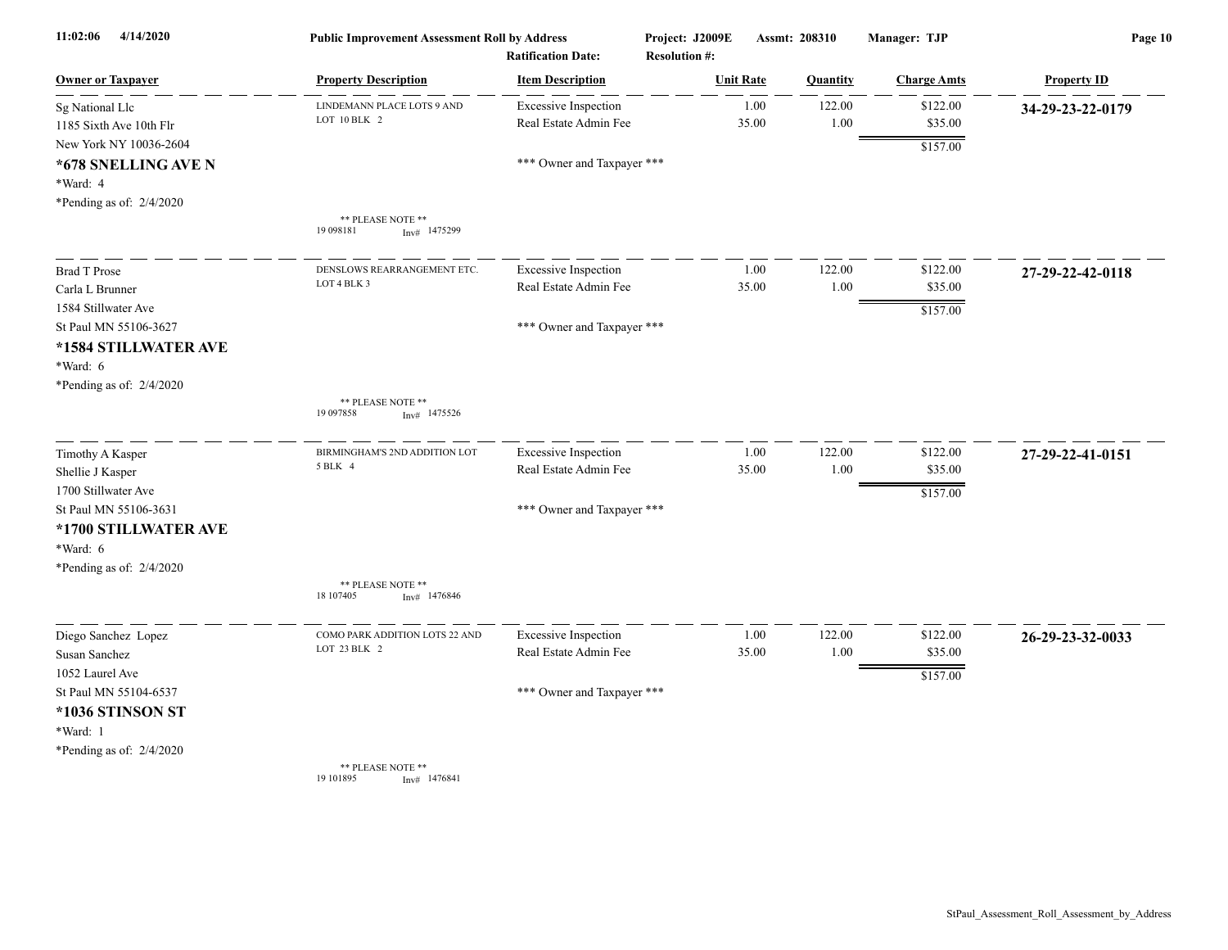| 11:02:06<br>4/14/2020    | <b>Public Improvement Assessment Roll by Address</b><br><b>Ratification Date:</b> |                             | Project: J2009E<br><b>Resolution #:</b> |                  | Assmt: 208310 | Manager: TJP       | Page 10            |
|--------------------------|-----------------------------------------------------------------------------------|-----------------------------|-----------------------------------------|------------------|---------------|--------------------|--------------------|
| <b>Owner or Taxpayer</b> | <b>Property Description</b>                                                       | <b>Item Description</b>     |                                         | <b>Unit Rate</b> | Quantity      | <b>Charge Amts</b> | <b>Property ID</b> |
| Sg National Llc          | LINDEMANN PLACE LOTS 9 AND                                                        | <b>Excessive Inspection</b> |                                         | 1.00             | 122.00        | \$122.00           | 34-29-23-22-0179   |
| 1185 Sixth Ave 10th Flr  | LOT 10 BLK 2                                                                      | Real Estate Admin Fee       |                                         | 35.00            | 1.00          | \$35.00            |                    |
| New York NY 10036-2604   |                                                                                   |                             |                                         |                  |               | \$157.00           |                    |
| *678 SNELLING AVE N      |                                                                                   | *** Owner and Taxpayer ***  |                                         |                  |               |                    |                    |
| *Ward: 4                 |                                                                                   |                             |                                         |                  |               |                    |                    |
| *Pending as of: 2/4/2020 |                                                                                   |                             |                                         |                  |               |                    |                    |
|                          | ** PLEASE NOTE **<br>19 098181<br>$Inv#$ 1475299                                  |                             |                                         |                  |               |                    |                    |
| <b>Brad T Prose</b>      | DENSLOWS REARRANGEMENT ETC.                                                       | <b>Excessive Inspection</b> |                                         | 1.00             | 122.00        | \$122.00           | 27-29-22-42-0118   |
| Carla L Brunner          | LOT 4 BLK 3                                                                       | Real Estate Admin Fee       |                                         | 35.00            | 1.00          | \$35.00            |                    |
| 1584 Stillwater Ave      |                                                                                   |                             |                                         |                  |               | \$157.00           |                    |
| St Paul MN 55106-3627    |                                                                                   | *** Owner and Taxpayer ***  |                                         |                  |               |                    |                    |
| *1584 STILLWATER AVE     |                                                                                   |                             |                                         |                  |               |                    |                    |
| *Ward: 6                 |                                                                                   |                             |                                         |                  |               |                    |                    |
| *Pending as of: 2/4/2020 |                                                                                   |                             |                                         |                  |               |                    |                    |
|                          | ** PLEASE NOTE **<br>19 09 78 58<br>$Inv#$ 1475526                                |                             |                                         |                  |               |                    |                    |
| Timothy A Kasper         | BIRMINGHAM'S 2ND ADDITION LOT                                                     | <b>Excessive Inspection</b> |                                         | 1.00             | 122.00        | \$122.00           | 27-29-22-41-0151   |
| Shellie J Kasper         | 5 BLK 4                                                                           | Real Estate Admin Fee       |                                         | 35.00            | 1.00          | \$35.00            |                    |
| 1700 Stillwater Ave      |                                                                                   |                             |                                         |                  |               | \$157.00           |                    |
| St Paul MN 55106-3631    |                                                                                   | *** Owner and Taxpayer ***  |                                         |                  |               |                    |                    |
| *1700 STILLWATER AVE     |                                                                                   |                             |                                         |                  |               |                    |                    |
| *Ward: 6                 |                                                                                   |                             |                                         |                  |               |                    |                    |
| *Pending as of: 2/4/2020 |                                                                                   |                             |                                         |                  |               |                    |                    |
|                          | ** PLEASE NOTE **<br>18 107405<br>$Inv#$ 1476846                                  |                             |                                         |                  |               |                    |                    |
| Diego Sanchez Lopez      | COMO PARK ADDITION LOTS 22 AND                                                    | <b>Excessive Inspection</b> |                                         | 1.00             | 122.00        | \$122.00           | 26-29-23-32-0033   |
| Susan Sanchez            | LOT 23 BLK 2                                                                      | Real Estate Admin Fee       |                                         | 35.00            | 1.00          | \$35.00            |                    |
| 1052 Laurel Ave          |                                                                                   |                             |                                         |                  |               | \$157.00           |                    |
| St Paul MN 55104-6537    |                                                                                   | *** Owner and Taxpayer ***  |                                         |                  |               |                    |                    |
| *1036 STINSON ST         |                                                                                   |                             |                                         |                  |               |                    |                    |
| *Ward: 1                 |                                                                                   |                             |                                         |                  |               |                    |                    |
| *Pending as of: 2/4/2020 |                                                                                   |                             |                                         |                  |               |                    |                    |
|                          | ** PLEASE NOTE **<br>19 10 1895<br>Inv# 1476841                                   |                             |                                         |                  |               |                    |                    |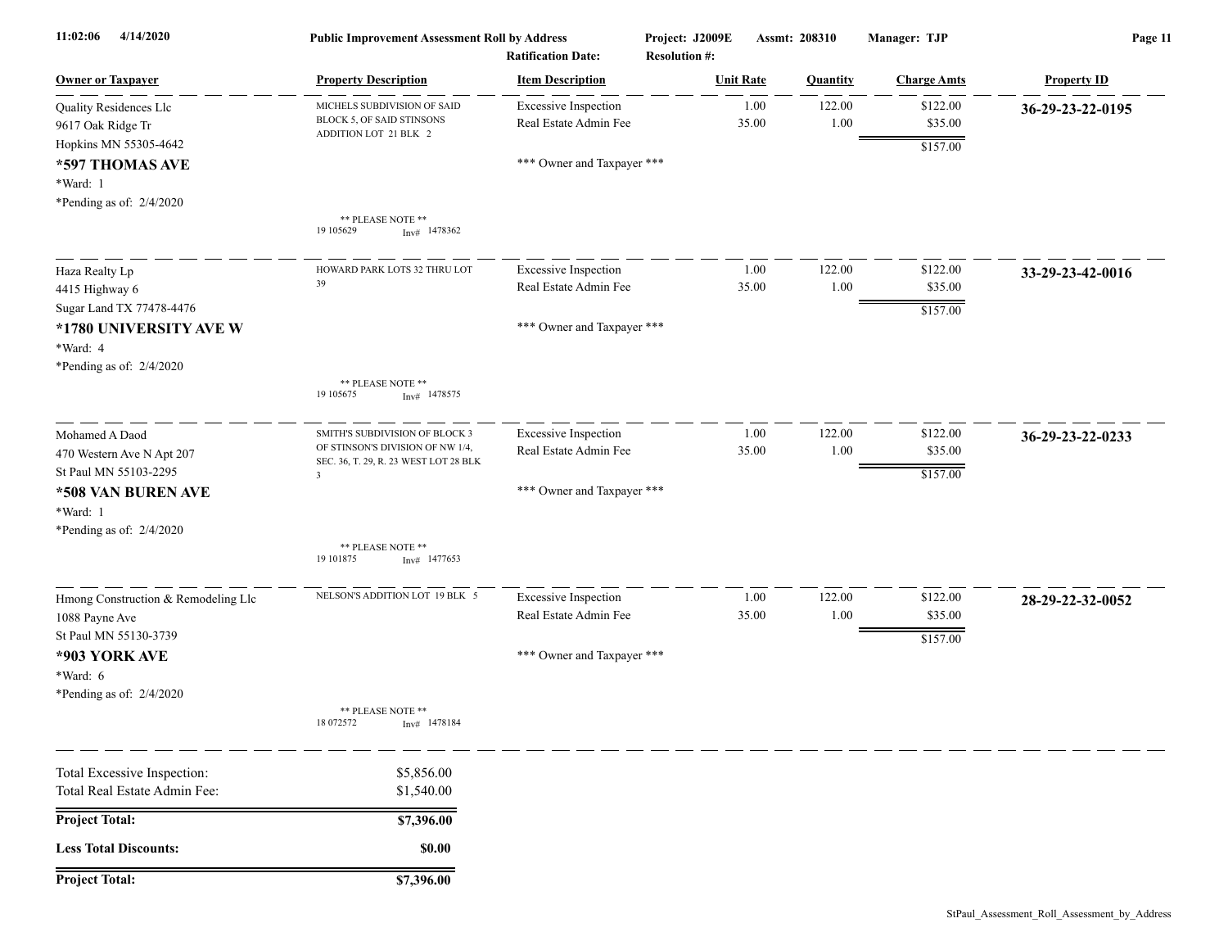| 11:02:06<br>4/14/2020                                                                                                           | <b>Public Improvement Assessment Roll by Address</b><br><b>Ratification Date:</b>                                                      |                                                                                    | Project: J2009E<br><b>Resolution #:</b> | Assmt: 208310  | Manager: TJP                    | Page 11            |  |
|---------------------------------------------------------------------------------------------------------------------------------|----------------------------------------------------------------------------------------------------------------------------------------|------------------------------------------------------------------------------------|-----------------------------------------|----------------|---------------------------------|--------------------|--|
| <b>Owner or Taxpayer</b>                                                                                                        | <b>Property Description</b>                                                                                                            | <b>Item Description</b>                                                            | <b>Unit Rate</b>                        | Quantity       | <b>Charge Amts</b>              | <b>Property ID</b> |  |
| Quality Residences Llc<br>9617 Oak Ridge Tr<br>Hopkins MN 55305-4642<br>*597 THOMAS AVE<br>*Ward: 1<br>*Pending as of: 2/4/2020 | MICHELS SUBDIVISION OF SAID<br>BLOCK 5, OF SAID STINSONS<br>ADDITION LOT 21 BLK 2                                                      | <b>Excessive Inspection</b><br>Real Estate Admin Fee<br>*** Owner and Taxpayer *** | 1.00<br>35.00                           | 122.00<br>1.00 | \$122.00<br>\$35.00<br>\$157.00 | 36-29-23-22-0195   |  |
|                                                                                                                                 | ** PLEASE NOTE **<br>19 10 56 29<br>$Inv#$ 1478362                                                                                     |                                                                                    |                                         |                |                                 |                    |  |
| Haza Realty Lp<br>4415 Highway 6<br>Sugar Land TX 77478-4476<br>*1780 UNIVERSITY AVE W<br>*Ward: 4                              | HOWARD PARK LOTS 32 THRU LOT<br>39                                                                                                     | <b>Excessive Inspection</b><br>Real Estate Admin Fee<br>*** Owner and Taxpayer *** | 1.00<br>35.00                           | 122.00<br>1.00 | \$122.00<br>\$35.00<br>\$157.00 | 33-29-23-42-0016   |  |
| *Pending as of: 2/4/2020                                                                                                        | ** PLEASE NOTE **<br>19 10 5675<br>$Inv#$ 1478575                                                                                      |                                                                                    |                                         |                |                                 |                    |  |
| Mohamed A Daod<br>470 Western Ave N Apt 207<br>St Paul MN 55103-2295<br>*508 VAN BUREN AVE<br>*Ward: 1                          | SMITH'S SUBDIVISION OF BLOCK 3<br>OF STINSON'S DIVISION OF NW 1/4,<br>SEC. 36, T. 29, R. 23 WEST LOT 28 BLK<br>$\overline{\mathbf{3}}$ | <b>Excessive Inspection</b><br>Real Estate Admin Fee<br>*** Owner and Taxpayer *** | 1.00<br>35.00                           | 122.00<br>1.00 | \$122.00<br>\$35.00<br>\$157.00 | 36-29-23-22-0233   |  |
| *Pending as of: $2/4/2020$                                                                                                      | ** PLEASE NOTE **<br>19 10 1875<br>$Inv#$ 1477653                                                                                      |                                                                                    |                                         |                |                                 |                    |  |
| Hmong Construction & Remodeling Llc<br>1088 Payne Ave<br>St Paul MN 55130-3739<br>*903 YORK AVE<br>*Ward: 6                     | NELSON'S ADDITION LOT 19 BLK 5                                                                                                         | <b>Excessive Inspection</b><br>Real Estate Admin Fee<br>*** Owner and Taxpayer *** | 1.00<br>35.00                           | 122.00<br>1.00 | \$122.00<br>\$35.00<br>\$157.00 | 28-29-22-32-0052   |  |
| *Pending as of: 2/4/2020                                                                                                        | ** PLEASE NOTE **<br>18 072572<br>Inv# 1478184                                                                                         |                                                                                    |                                         |                |                                 |                    |  |
| Total Excessive Inspection:<br>Total Real Estate Admin Fee:                                                                     | \$5,856.00<br>\$1,540.00                                                                                                               |                                                                                    |                                         |                |                                 |                    |  |
| <b>Project Total:</b>                                                                                                           | \$7,396.00                                                                                                                             |                                                                                    |                                         |                |                                 |                    |  |
| <b>Less Total Discounts:</b>                                                                                                    | \$0.00                                                                                                                                 |                                                                                    |                                         |                |                                 |                    |  |
| <b>Project Total:</b>                                                                                                           | \$7,396.00                                                                                                                             |                                                                                    |                                         |                |                                 |                    |  |